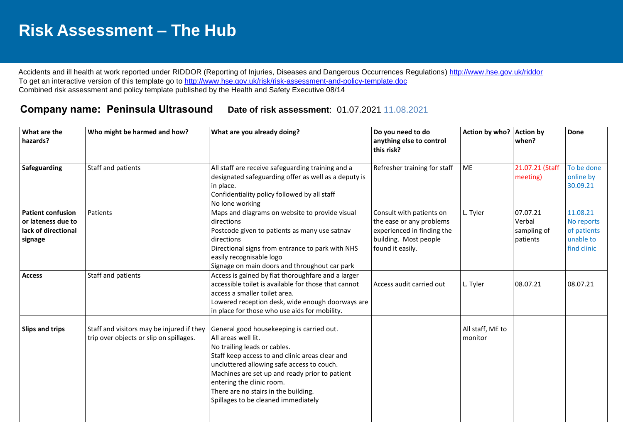## **Risk Assessment – The Hub**

Accidents and ill health at work reported under RIDDOR (Reporting of Injuries, Diseases and Dangerous Occurrences Regulations)<http://www.hse.gov.uk/riddor> To get an interactive version of this template go to<http://www.hse.gov.uk/risk/risk-assessment-and-policy-template.doc> Combined risk assessment and policy template published by the Health and Safety Executive 08/14

## **Company name: Peninsula Ultrasound Date of risk assessment**: 01.07.2021 11.08.2021

| What are the<br>hazards?                                                         | Who might be harmed and how?                                                         | What are you already doing?                                                                                                                                                                                                                                                                                                                                     | Do you need to do<br>anything else to control<br>this risk?                                                                     | Action by who? Action by    | when?                                         | Done                                                              |
|----------------------------------------------------------------------------------|--------------------------------------------------------------------------------------|-----------------------------------------------------------------------------------------------------------------------------------------------------------------------------------------------------------------------------------------------------------------------------------------------------------------------------------------------------------------|---------------------------------------------------------------------------------------------------------------------------------|-----------------------------|-----------------------------------------------|-------------------------------------------------------------------|
| Safeguarding                                                                     | Staff and patients                                                                   | All staff are receive safeguarding training and a<br>designated safeguarding offer as well as a deputy is<br>in place.<br>Confidentiality policy followed by all staff<br>No lone working                                                                                                                                                                       | Refresher training for staff                                                                                                    | ME                          | 21.07.21 (Staff<br>meeting)                   | To be done<br>online by<br>30.09.21                               |
| <b>Patient confusion</b><br>or lateness due to<br>lack of directional<br>signage | Patients                                                                             | Maps and diagrams on website to provide visual<br>directions<br>Postcode given to patients as many use satnav<br>directions<br>Directional signs from entrance to park with NHS<br>easily recognisable logo<br>Signage on main doors and throughout car park                                                                                                    | Consult with patients on<br>the ease or any problems<br>experienced in finding the<br>building. Most people<br>found it easily. | L. Tyler                    | 07.07.21<br>Verbal<br>sampling of<br>patients | 11.08.21<br>No reports<br>of patients<br>unable to<br>find clinic |
| <b>Access</b>                                                                    | Staff and patients                                                                   | Access is gained by flat thoroughfare and a larger<br>accessible toilet is available for those that cannot<br>access a smaller toilet area.<br>Lowered reception desk, wide enough doorways are<br>in place for those who use aids for mobility.                                                                                                                | Access audit carried out                                                                                                        | L. Tyler                    | 08.07.21                                      | 08.07.21                                                          |
| Slips and trips                                                                  | Staff and visitors may be injured if they<br>trip over objects or slip on spillages. | General good housekeeping is carried out.<br>All areas well lit.<br>No trailing leads or cables.<br>Staff keep access to and clinic areas clear and<br>uncluttered allowing safe access to couch.<br>Machines are set up and ready prior to patient<br>entering the clinic room.<br>There are no stairs in the building.<br>Spillages to be cleaned immediately |                                                                                                                                 | All staff, ME to<br>monitor |                                               |                                                                   |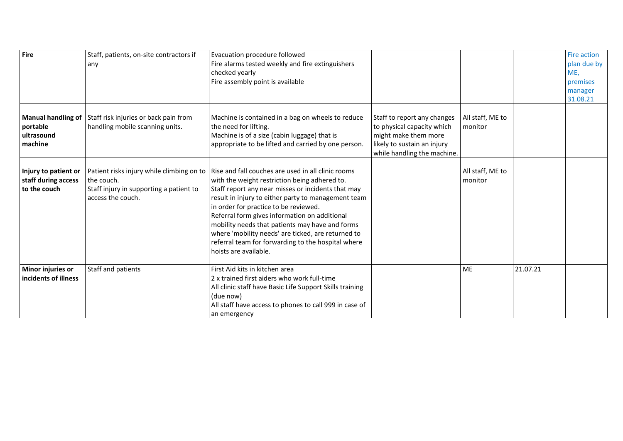| Fire                                                           | Staff, patients, on-site contractors if<br>any                                                                          | Evacuation procedure followed<br>Fire alarms tested weekly and fire extinguishers<br>checked yearly<br>Fire assembly point is available                                                                                                                                                                                                                                                                                                                                                            |                                                                                                                                                 |                             |          | Fire action<br>plan due by<br>ME,<br>premises<br>manager<br>31.08.21 |
|----------------------------------------------------------------|-------------------------------------------------------------------------------------------------------------------------|----------------------------------------------------------------------------------------------------------------------------------------------------------------------------------------------------------------------------------------------------------------------------------------------------------------------------------------------------------------------------------------------------------------------------------------------------------------------------------------------------|-------------------------------------------------------------------------------------------------------------------------------------------------|-----------------------------|----------|----------------------------------------------------------------------|
| <b>Manual handling of</b><br>portable<br>ultrasound<br>machine | Staff risk injuries or back pain from<br>handling mobile scanning units.                                                | Machine is contained in a bag on wheels to reduce<br>the need for lifting.<br>Machine is of a size (cabin luggage) that is<br>appropriate to be lifted and carried by one person.                                                                                                                                                                                                                                                                                                                  | Staff to report any changes<br>to physical capacity which<br>might make them more<br>likely to sustain an injury<br>while handling the machine. | All staff, ME to<br>monitor |          |                                                                      |
| Injury to patient or<br>staff during access<br>to the couch    | Patient risks injury while climbing on to<br>the couch.<br>Staff injury in supporting a patient to<br>access the couch. | Rise and fall couches are used in all clinic rooms<br>with the weight restriction being adhered to.<br>Staff report any near misses or incidents that may<br>result in injury to either party to management team<br>in order for practice to be reviewed.<br>Referral form gives information on additional<br>mobility needs that patients may have and forms<br>where 'mobility needs' are ticked, are returned to<br>referral team for forwarding to the hospital where<br>hoists are available. |                                                                                                                                                 | All staff, ME to<br>monitor |          |                                                                      |
| Minor injuries or<br>incidents of illness                      | Staff and patients                                                                                                      | First Aid kits in kitchen area<br>2 x trained first aiders who work full-time<br>All clinic staff have Basic Life Support Skills training<br>(due now)<br>All staff have access to phones to call 999 in case of<br>an emergency                                                                                                                                                                                                                                                                   |                                                                                                                                                 | ME                          | 21.07.21 |                                                                      |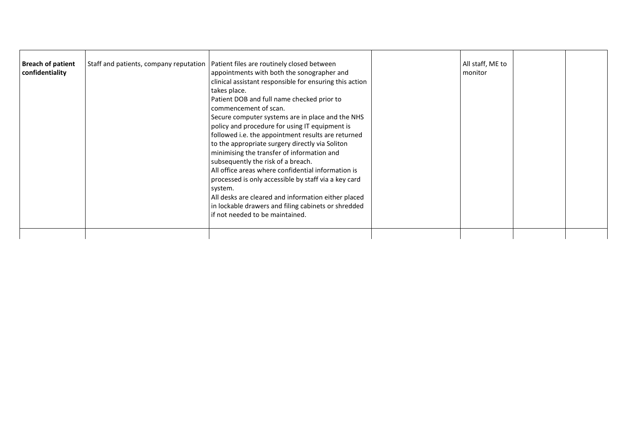|--|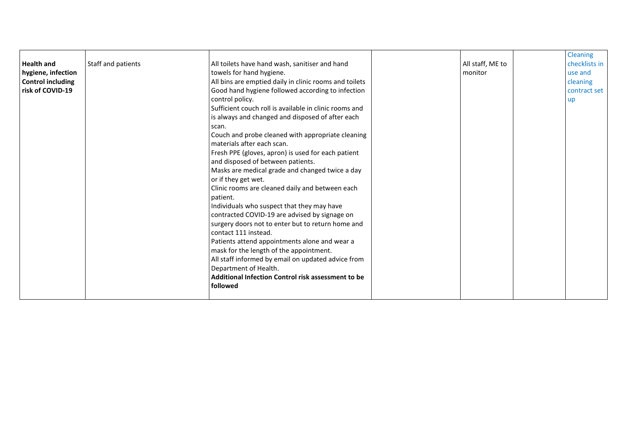| <b>Health and</b><br>hygiene, infection<br><b>Control including</b><br>risk of COVID-19 | Staff and patients | All toilets have hand wash, sanitiser and hand<br>towels for hand hygiene.<br>All bins are emptied daily in clinic rooms and toilets<br>Good hand hygiene followed according to infection<br>control policy.<br>Sufficient couch roll is available in clinic rooms and<br>is always and changed and disposed of after each<br>scan.<br>Couch and probe cleaned with appropriate cleaning<br>materials after each scan.<br>Fresh PPE (gloves, apron) is used for each patient<br>and disposed of between patients.<br>Masks are medical grade and changed twice a day<br>or if they get wet.<br>Clinic rooms are cleaned daily and between each<br>patient.<br>Individuals who suspect that they may have<br>contracted COVID-19 are advised by signage on<br>surgery doors not to enter but to return home and<br>contact 111 instead.<br>Patients attend appointments alone and wear a<br>mask for the length of the appointment.<br>All staff informed by email on updated advice from<br>Department of Health.<br>Additional Infection Control risk assessment to be<br>followed |  | All staff, ME to<br>monitor |  | Cleaning<br>checklists in<br>use and<br>cleaning<br>contract set<br>up |
|-----------------------------------------------------------------------------------------|--------------------|-------------------------------------------------------------------------------------------------------------------------------------------------------------------------------------------------------------------------------------------------------------------------------------------------------------------------------------------------------------------------------------------------------------------------------------------------------------------------------------------------------------------------------------------------------------------------------------------------------------------------------------------------------------------------------------------------------------------------------------------------------------------------------------------------------------------------------------------------------------------------------------------------------------------------------------------------------------------------------------------------------------------------------------------------------------------------------------|--|-----------------------------|--|------------------------------------------------------------------------|
|-----------------------------------------------------------------------------------------|--------------------|-------------------------------------------------------------------------------------------------------------------------------------------------------------------------------------------------------------------------------------------------------------------------------------------------------------------------------------------------------------------------------------------------------------------------------------------------------------------------------------------------------------------------------------------------------------------------------------------------------------------------------------------------------------------------------------------------------------------------------------------------------------------------------------------------------------------------------------------------------------------------------------------------------------------------------------------------------------------------------------------------------------------------------------------------------------------------------------|--|-----------------------------|--|------------------------------------------------------------------------|